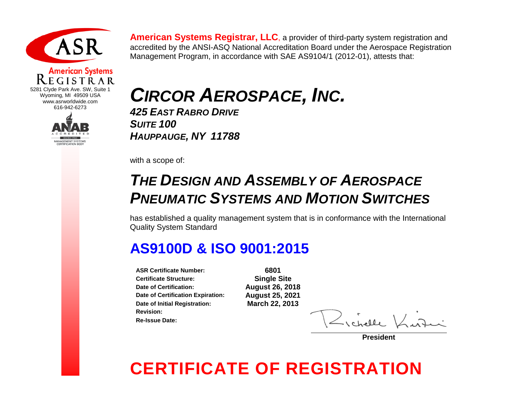

### **American Systems** 5281 Clyde Park Ave. SW, Suite 1 Wyoming, MI 49509 USA www.asrworldwide.com



**American Systems Registrar, LLC**, a provider of third-party system registration and accredited by the ANSI-ASQ National Accreditation Board under the Aerospace Registration Management Program, in accordance with SAE AS9104/1 (2012-01), attests that:

# *CIRCOR AEROSPACE, INC.*

*425 EAST RABRO DRIVE SUITE 100 HAUPPAUGE, NY 11788*

with a scope of:

### *THE DESIGN AND ASSEMBLY OF AEROSPACE PNEUMATIC SYSTEMS AND MOTION SWITCHES*

has established a quality management system that is in conformance with the International Quality System Standard

### **AS9100D & ISO 9001:2015**

**ASR Certificate Number: 6801 Certificate Structure: Date of Certification: August 26, 2018 Date of Certification Expiration: Date of Initial Registration: March 22, 2013 Revision: Re-Issue Date:**

**President**

## **CERTIFICATE OF REGISTRATION**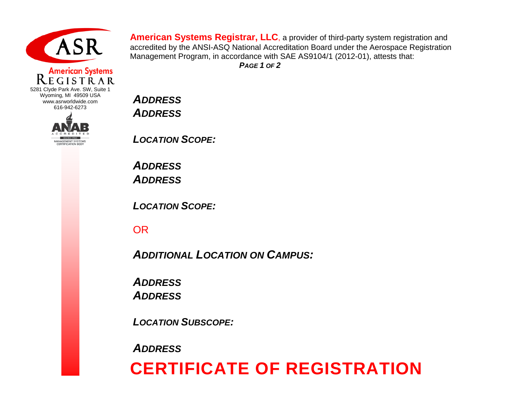

### **American Systems** EGISTRAR

5281 Clyde Park Ave. SW, Suite 1 Wyoming, MI 49509 USA www.asrworldwide.com 616-942-6273



**American Systems Registrar, LLC**, a provider of third-party system registration and accredited by the ANSI-ASQ National Accreditation Board under the Aerospace Registration Management Program, in accordance with SAE AS9104/1 (2012-01), attests that: *PAGE 1 OF 2*

*ADDRESS ADDRESS*

*LOCATION SCOPE:*

*ADDRESS ADDRESS*

*LOCATION SCOPE:*

OR

*ADDITIONAL LOCATION ON CAMPUS:*

*ADDRESS ADDRESS*

*LOCATION SUBSCOPE:*

*ADDRESS*

### **CERTIFICATE OF REGISTRATION**